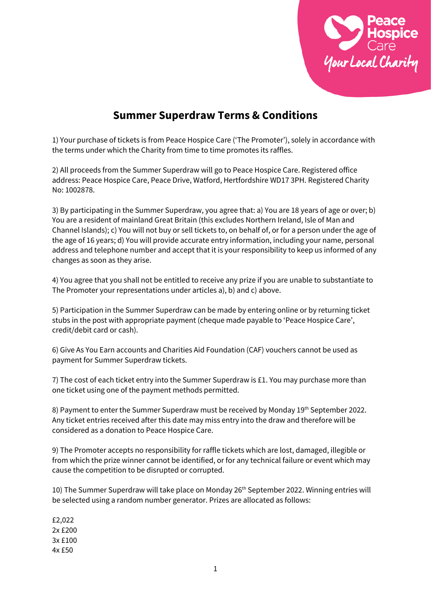

## **Summer Superdraw Terms & Conditions**

1) Your purchase of tickets is from Peace Hospice Care ('The Promoter'), solely in accordance with the terms under which the Charity from time to time promotes its raffles.

2) All proceeds from the Summer Superdraw will go to Peace Hospice Care. Registered office address: Peace Hospice Care, Peace Drive, Watford, Hertfordshire WD17 3PH. Registered Charity No: 1002878.

3) By participating in the Summer Superdraw, you agree that: a) You are 18 years of age or over; b) You are a resident of mainland Great Britain (this excludes Northern Ireland, Isle of Man and Channel Islands); c) You will not buy or sell tickets to, on behalf of, or for a person under the age of the age of 16 years; d) You will provide accurate entry information, including your name, personal address and telephone number and accept that it is your responsibility to keep us informed of any changes as soon as they arise.

4) You agree that you shall not be entitled to receive any prize if you are unable to substantiate to The Promoter your representations under articles a), b) and c) above.

5) Participation in the Summer Superdraw can be made by entering online or by returning ticket stubs in the post with appropriate payment (cheque made payable to 'Peace Hospice Care', credit/debit card or cash).

6) Give As You Earn accounts and Charities Aid Foundation (CAF) vouchers cannot be used as payment for Summer Superdraw tickets.

7) The cost of each ticket entry into the Summer Superdraw is £1. You may purchase more than one ticket using one of the payment methods permitted.

8) Payment to enter the Summer Superdraw must be received by Monday 19<sup>th</sup> September 2022. Any ticket entries received after this date may miss entry into the draw and therefore will be considered as a donation to Peace Hospice Care.

9) The Promoter accepts no responsibility for raffle tickets which are lost, damaged, illegible or from which the prize winner cannot be identified, or for any technical failure or event which may cause the competition to be disrupted or corrupted.

10) The Summer Superdraw will take place on Monday 26<sup>th</sup> September 2022. Winning entries will be selected using a random number generator. Prizes are allocated as follows:

£2,022 2x £200 3x £100 4x £50